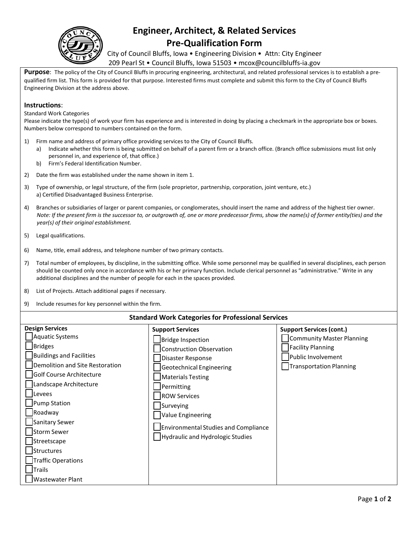

## **Engineer, Architect, & Related Services Pre-Qualification Form**

City of Council Bluffs, Iowa • Engineering Division • Attn: City Engineer 209 Pearl St • Council Bluffs, Iowa 51503 • mcox@councilbluffs-ia.gov

**Purpose**: The policy of the City of Council Bluffs in procuring engineering, architectural, and related professional services is to establish a prequalified firm list. This form is provided for that purpose. Interested firms must complete and submit this form to the City of Council Bluffs Engineering Division at the address above.

## **Instructions**:

Standard Work Categories

Please indicate the type(s) of work your firm has experience and is interested in doing by placing a checkmark in the appropriate box or boxes. Numbers below correspond to numbers contained on the form.

- 1) Firm name and address of primary office providing services to the City of Council Bluffs.
	- a) Indicate whether this form is being submitted on behalf of a parent firm or a branch office. (Branch office submissions must list only personnel in, and experience of, that office.)
	- b) Firm's Federal Identification Number.
- 2) Date the firm was established under the name shown in item 1.
- 3) Type of ownership, or legal structure, of the firm (sole proprietor, partnership, corporation, joint venture, etc.) a) Certified Disadvantaged Business Enterprise.
- 4) Branches or subsidiaries of larger or parent companies, or conglomerates, should insert the name and address of the highest tier owner. Note: If the present firm is the successor to, or outgrowth of, one or more predecessor firms, show the name(s) of former entity(ties) and the *year(s) of their original establishment.*
- 5) Legal qualifications.
- 6) Name, title, email address, and telephone number of two primary contacts.
- 7) Total number of employees, by discipline, in the submitting office. While some personnel may be qualified in several disciplines, each person should be counted only once in accordance with his or her primary function. Include clerical personnel as "administrative." Write in any additional disciplines and the number of people for each in the spaces provided.
- 8) List of Projects. Attach additional pages if necessary.
- 9) Include resumes for key personnel within the firm.

## **Standard Work Categories for Professional Services**

| <b>Design Services</b>                                                                                                                                                                                                                                                                                                            | <b>Support Services</b>                                                                                                                                                                                                                                                              | <b>Support Services (cont.)</b>                                                                        |
|-----------------------------------------------------------------------------------------------------------------------------------------------------------------------------------------------------------------------------------------------------------------------------------------------------------------------------------|--------------------------------------------------------------------------------------------------------------------------------------------------------------------------------------------------------------------------------------------------------------------------------------|--------------------------------------------------------------------------------------------------------|
| <b>Aquatic Systems</b><br><b>Bridges</b><br>Buildings and Facilities<br>Demolition and Site Restoration<br>Golf Course Architecture<br>Landscape Architecture<br>evees<br>Pump Station<br>Roadway<br>Sanitary Sewer<br>Storm Sewer<br>Streetscape<br>Structures<br>Traffic Operations<br><b>Trails</b><br><b>Wastewater Plant</b> | Bridge Inspection<br><b>Construction Observation</b><br>Disaster Response<br>Geotechnical Engineering<br>Materials Testing<br>Permitting<br><b>ROW Services</b><br>Surveying<br><b>Value Engineering</b><br>Environmental Studies and Compliance<br>Hydraulic and Hydrologic Studies | Community Master Planning<br><b>Facility Planning</b><br>Public Involvement<br>Transportation Planning |